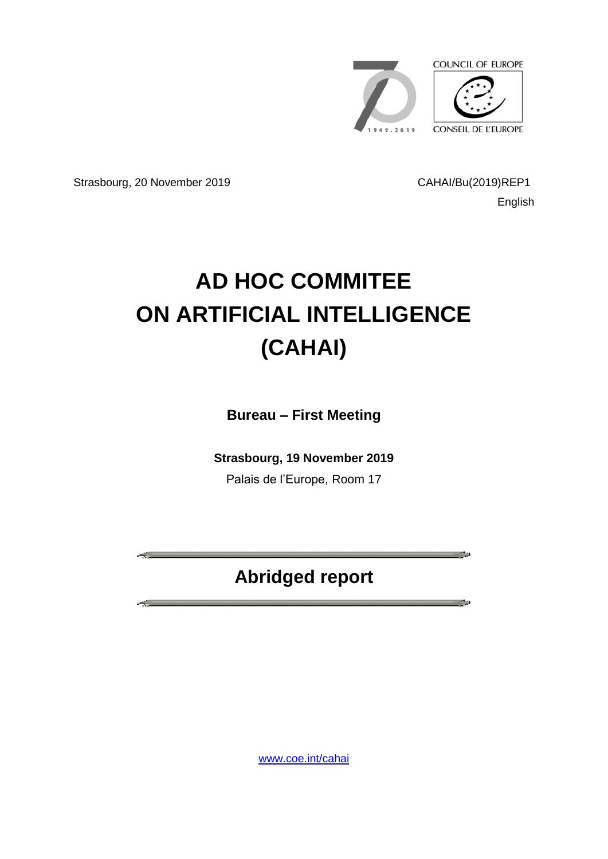

Strasbourg, 20 November 2019 CAHAI/Bu(2019)REP1

English

 $\sim$ 

**The State** 

# **AD HOC COMMITEE ON ARTIFICIAL INTELLIGENCE (CAHAI)**

**Bureau – First Meeting**

**Strasbourg, 19 November 2019**

Palais de l'Europe, Room 17

## **Abridged report**

[www.coe.int/cahai](http://www.coe.int/cahai)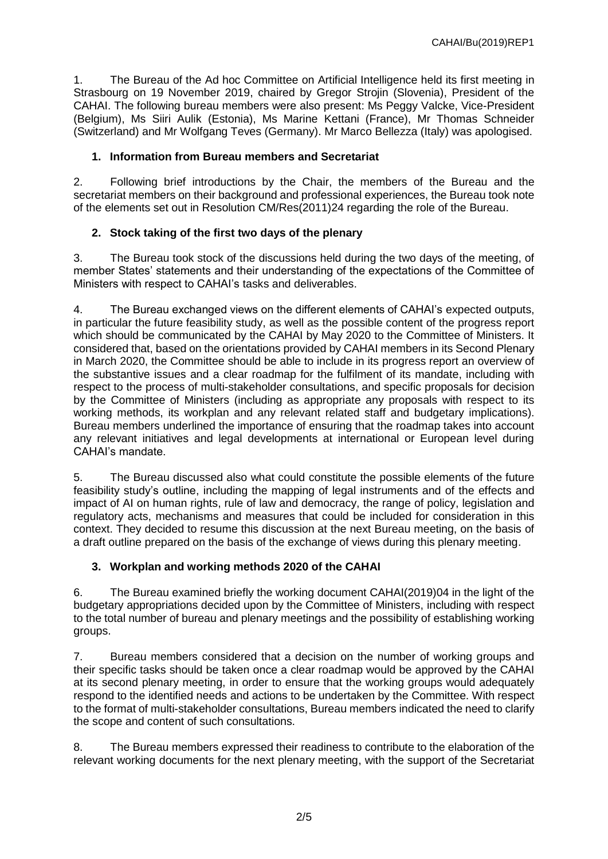1. The Bureau of the Ad hoc Committee on Artificial Intelligence held its first meeting in Strasbourg on 19 November 2019, chaired by Gregor Strojin (Slovenia), President of the CAHAI. The following bureau members were also present: Ms Peggy Valcke, Vice-President (Belgium), Ms Siiri Aulik (Estonia), Ms Marine Kettani (France), Mr Thomas Schneider (Switzerland) and Mr Wolfgang Teves (Germany). Mr Marco Bellezza (Italy) was apologised.

#### **1. Information from Bureau members and Secretariat**

2. Following brief introductions by the Chair, the members of the Bureau and the secretariat members on their background and professional experiences, the Bureau took note of the elements set out in Resolution CM/Res(2011)24 regarding the role of the Bureau.

### **2. Stock taking of the first two days of the plenary**

3. The Bureau took stock of the discussions held during the two days of the meeting, of member States' statements and their understanding of the expectations of the Committee of Ministers with respect to CAHAI's tasks and deliverables.

4. The Bureau exchanged views on the different elements of CAHAI's expected outputs, in particular the future feasibility study, as well as the possible content of the progress report which should be communicated by the CAHAI by May 2020 to the Committee of Ministers. It considered that, based on the orientations provided by CAHAI members in its Second Plenary in March 2020, the Committee should be able to include in its progress report an overview of the substantive issues and a clear roadmap for the fulfilment of its mandate, including with respect to the process of multi-stakeholder consultations, and specific proposals for decision by the Committee of Ministers (including as appropriate any proposals with respect to its working methods, its workplan and any relevant related staff and budgetary implications). Bureau members underlined the importance of ensuring that the roadmap takes into account any relevant initiatives and legal developments at international or European level during CAHAI's mandate.

5. The Bureau discussed also what could constitute the possible elements of the future feasibility study's outline, including the mapping of legal instruments and of the effects and impact of AI on human rights, rule of law and democracy, the range of policy, legislation and regulatory acts, mechanisms and measures that could be included for consideration in this context. They decided to resume this discussion at the next Bureau meeting, on the basis of a draft outline prepared on the basis of the exchange of views during this plenary meeting.

#### **3. Workplan and working methods 2020 of the CAHAI**

6. The Bureau examined briefly the working document CAHAI(2019)04 in the light of the budgetary appropriations decided upon by the Committee of Ministers, including with respect to the total number of bureau and plenary meetings and the possibility of establishing working groups.

7. Bureau members considered that a decision on the number of working groups and their specific tasks should be taken once a clear roadmap would be approved by the CAHAI at its second plenary meeting, in order to ensure that the working groups would adequately respond to the identified needs and actions to be undertaken by the Committee. With respect to the format of multi-stakeholder consultations, Bureau members indicated the need to clarify the scope and content of such consultations.

8. The Bureau members expressed their readiness to contribute to the elaboration of the relevant working documents for the next plenary meeting, with the support of the Secretariat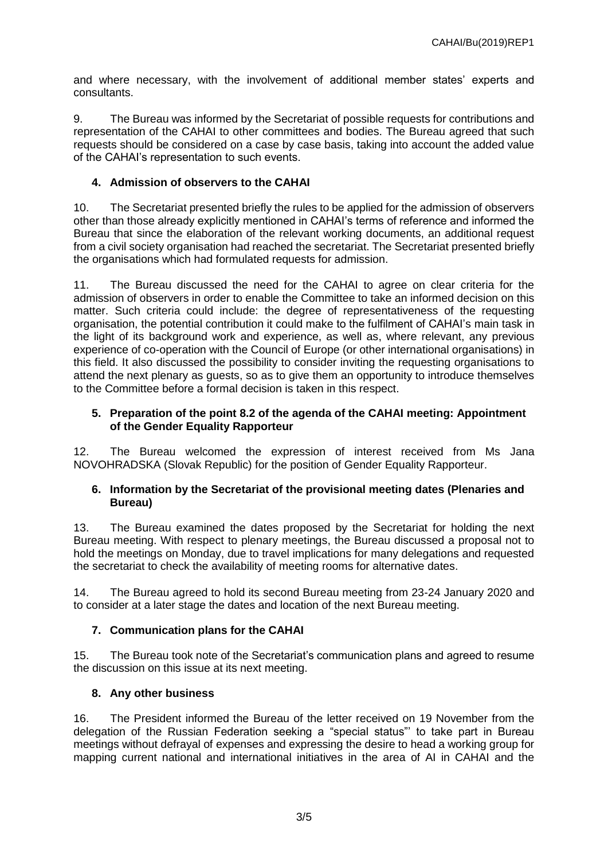and where necessary, with the involvement of additional member states' experts and consultants.

9. The Bureau was informed by the Secretariat of possible requests for contributions and representation of the CAHAI to other committees and bodies. The Bureau agreed that such requests should be considered on a case by case basis, taking into account the added value of the CAHAI's representation to such events.

#### **4. Admission of observers to the CAHAI**

10. The Secretariat presented briefly the rules to be applied for the admission of observers other than those already explicitly mentioned in CAHAI's terms of reference and informed the Bureau that since the elaboration of the relevant working documents, an additional request from a civil society organisation had reached the secretariat. The Secretariat presented briefly the organisations which had formulated requests for admission.

11. The Bureau discussed the need for the CAHAI to agree on clear criteria for the admission of observers in order to enable the Committee to take an informed decision on this matter. Such criteria could include: the degree of representativeness of the requesting organisation, the potential contribution it could make to the fulfilment of CAHAI's main task in the light of its background work and experience, as well as, where relevant, any previous experience of co-operation with the Council of Europe (or other international organisations) in this field. It also discussed the possibility to consider inviting the requesting organisations to attend the next plenary as guests, so as to give them an opportunity to introduce themselves to the Committee before a formal decision is taken in this respect.

#### **5. Preparation of the point 8.2 of the agenda of the CAHAI meeting: Appointment of the Gender Equality Rapporteur**

12. The Bureau welcomed the expression of interest received from Ms Jana NOVOHRADSKA (Slovak Republic) for the position of Gender Equality Rapporteur.

#### **6. Information by the Secretariat of the provisional meeting dates (Plenaries and Bureau)**

13. The Bureau examined the dates proposed by the Secretariat for holding the next Bureau meeting. With respect to plenary meetings, the Bureau discussed a proposal not to hold the meetings on Monday, due to travel implications for many delegations and requested the secretariat to check the availability of meeting rooms for alternative dates.

14. The Bureau agreed to hold its second Bureau meeting from 23-24 January 2020 and to consider at a later stage the dates and location of the next Bureau meeting.

#### **7. Communication plans for the CAHAI**

15. The Bureau took note of the Secretariat's communication plans and agreed to resume the discussion on this issue at its next meeting.

#### **8. Any other business**

16. The President informed the Bureau of the letter received on 19 November from the delegation of the Russian Federation seeking a "special status"' to take part in Bureau meetings without defrayal of expenses and expressing the desire to head a working group for mapping current national and international initiatives in the area of AI in CAHAI and the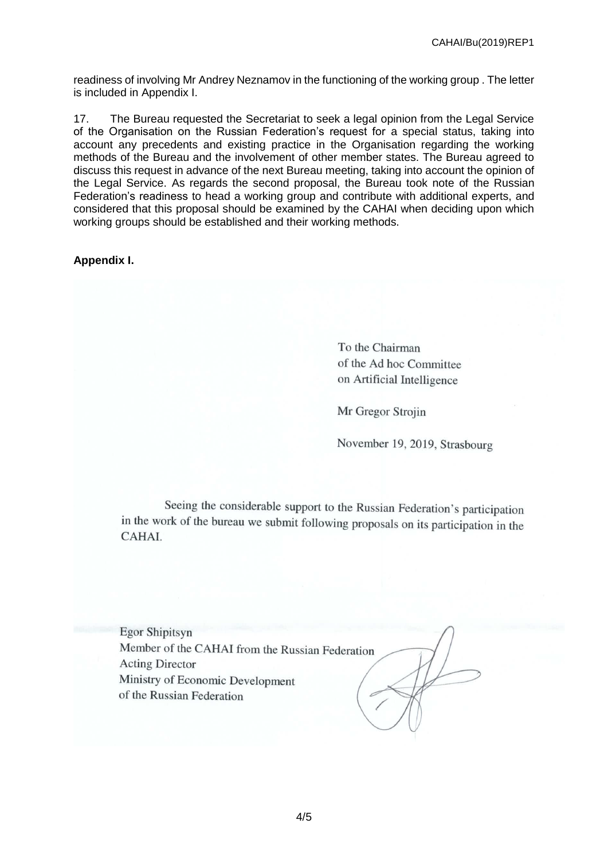readiness of involving Mr Andrey Neznamov in the functioning of the working group . The letter is included in Appendix I.

17. The Bureau requested the Secretariat to seek a legal opinion from the Legal Service of the Organisation on the Russian Federation's request for a special status, taking into account any precedents and existing practice in the Organisation regarding the working methods of the Bureau and the involvement of other member states. The Bureau agreed to discuss this request in advance of the next Bureau meeting, taking into account the opinion of the Legal Service. As regards the second proposal, the Bureau took note of the Russian Federation's readiness to head a working group and contribute with additional experts, and considered that this proposal should be examined by the CAHAI when deciding upon which working groups should be established and their working methods.

#### **Appendix I.**

To the Chairman of the Ad hoc Committee on Artificial Intelligence

Mr Gregor Strojin

November 19, 2019, Strasbourg

Seeing the considerable support to the Russian Federation's participation in the work of the bureau we submit following proposals on its participation in the **CAHAL** 

**Egor Shipitsyn** Member of the CAHAI from the Russian Federation **Acting Director** Ministry of Economic Development of the Russian Federation